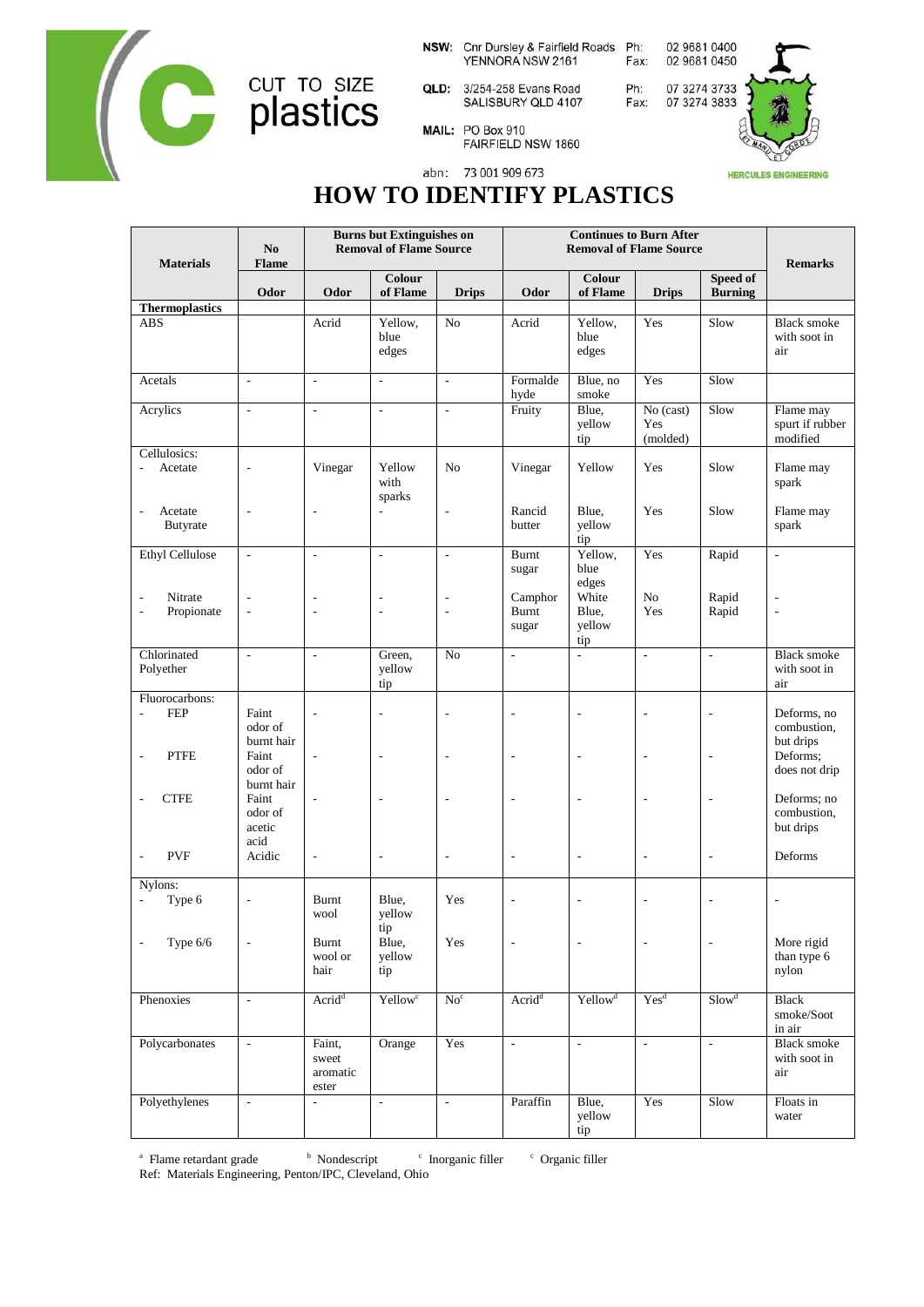

NSW: Cnr Dursley & Fairfield Roads Ph: YENNORA NSW 2161

- QLD: 3/254-258 Evans Road<br>SALISBURY QLD 4107
- 02 9681 0450 Fax: 07 3274 3733

02 9681 0400

MAIL: PO Box 910

Ph:

Fax:



## FAIRFIELD NSW 1860

abn: 73 001 909 673

## **HOW TO IDENTIFY PLASTICS**

| <b>Materials</b>                                         | N <sub>0</sub><br><b>Flame</b><br>Odor | <b>Burns but Extinguishes on</b><br><b>Removal of Flame Source</b> |                               |                          | <b>Continues to Burn After</b><br><b>Removal of Flame Source</b> |                                 |                              |                            | <b>Remarks</b>                            |
|----------------------------------------------------------|----------------------------------------|--------------------------------------------------------------------|-------------------------------|--------------------------|------------------------------------------------------------------|---------------------------------|------------------------------|----------------------------|-------------------------------------------|
|                                                          |                                        | Odor                                                               | Colour<br>of Flame            | <b>Drips</b>             | Odor                                                             | Colour<br>of Flame              | <b>Drips</b>                 | Speed of<br><b>Burning</b> |                                           |
| <b>Thermoplastics</b><br><b>ABS</b>                      |                                        | Acrid                                                              | Yellow,<br>blue<br>edges      | N <sub>o</sub>           | Acrid                                                            | Yellow,<br>blue<br>edges        | Yes                          | Slow                       | <b>Black smoke</b><br>with soot in<br>air |
| Acetals                                                  | $\overline{\phantom{a}}$               | $\overline{\phantom{a}}$                                           | $\omega$                      | ä,                       | Formalde<br>hyde                                                 | Blue, no<br>smoke               | Yes                          | Slow                       |                                           |
| Acrylics                                                 | $\overline{\phantom{a}}$               | $\overline{\phantom{a}}$                                           | $\frac{1}{2}$                 | $\frac{1}{2}$            | Fruity                                                           | Blue.<br>yellow<br>tip          | No (cast)<br>Yes<br>(molded) | Slow                       | Flame may<br>spurt if rubber<br>modified  |
| Cellulosics:<br>Acetate                                  | $\overline{a}$                         | Vinegar                                                            | Yellow<br>with<br>sparks      | No                       | Vinegar                                                          | Yellow                          | Yes                          | Slow                       | Flame may<br>spark                        |
| Acetate<br>$\overline{\phantom{a}}$<br>Butyrate          | $\frac{1}{2}$                          | $\overline{a}$                                                     | ÷,                            | $\overline{a}$           | Rancid<br>butter                                                 | Blue,<br>yellow<br>tip          | Yes                          | Slow                       | Flame may<br>spark                        |
| <b>Ethyl Cellulose</b>                                   | $\overline{\phantom{a}}$               | $\blacksquare$                                                     | $\overline{\phantom{a}}$      | $\overline{\phantom{a}}$ | <b>Burnt</b><br>sugar                                            | Yellow,<br>blue<br>edges        | Yes                          | Rapid                      | $\overline{\phantom{a}}$                  |
| Nitrate<br>Propionate<br>$\overline{\phantom{a}}$        | ÷,<br>$\overline{\phantom{a}}$         | L,                                                                 | $\overline{a}$                | $\overline{a}$           | Camphor<br><b>Burnt</b><br>sugar                                 | White<br>Blue.<br>yellow<br>tip | No<br>Yes                    | Rapid<br>Rapid             | $\overline{a}$                            |
| Chlorinated<br>Polyether                                 | $\overline{\phantom{a}}$               | $\frac{1}{2}$                                                      | Green,<br>yellow<br>tip       | N <sub>0</sub>           | ÷,                                                               | $\overline{\phantom{a}}$        | $\overline{\phantom{a}}$     | $\frac{1}{2}$              | <b>Black smoke</b><br>with soot in<br>air |
| Fluorocarbons:<br><b>FEP</b><br>$\overline{\phantom{a}}$ | Faint<br>odor of<br>burnt hair         | l,                                                                 | L,                            | $\overline{a}$           | L,                                                               | J.                              |                              | J.                         | Deforms, no<br>combustion,<br>but drips   |
| <b>PTFE</b><br>Ĭ.                                        | Faint<br>odor of<br>burnt hair         | $\overline{a}$                                                     | ÷,                            | ÷,                       | L,                                                               | Ĭ.                              |                              | Ĭ.                         | Deforms;<br>does not drip                 |
| <b>CTFE</b><br>$\overline{\phantom{a}}$                  | Faint<br>odor of<br>acetic<br>acid     | $\overline{\phantom{a}}$                                           | $\qquad \qquad \blacksquare$  | $\overline{\phantom{m}}$ | $\qquad \qquad \blacksquare$                                     | $\overline{a}$                  | ÷,                           | $\overline{\phantom{a}}$   | Deforms; no<br>combustion,<br>but drips   |
| <b>PVF</b><br>$\overline{\phantom{a}}$                   | Acidic                                 | $\overline{\phantom{a}}$                                           | $\overline{a}$                | $\overline{a}$           | L,                                                               | $\overline{\phantom{a}}$        | $\overline{a}$               | $\overline{\phantom{a}}$   | Deforms                                   |
| Nylons:<br>Type 6<br>$\blacksquare$                      | $\qquad \qquad \blacksquare$           | Burnt<br>wool                                                      | Blue,<br>yellow               | Yes                      | $\overline{a}$                                                   | $\overline{\phantom{a}}$        | Ĭ.                           |                            |                                           |
| Type 6/6<br>$\overline{\phantom{a}}$                     | $\overline{\phantom{a}}$               | Burnt<br>wool or<br>hair                                           | tip<br>Blue,<br>yellow<br>tip | Yes                      |                                                                  | $\overline{\phantom{a}}$        | L,                           | $\overline{\phantom{a}}$   | More rigid<br>than type 6<br>nylon        |
| Phenoxies                                                | $\blacksquare$                         | Acrid <sup>d</sup>                                                 | Yellow <sup>c</sup>           | No <sup>c</sup>          | Acrid <sup>d</sup>                                               | Yellow <sup>d</sup>             | Yes <sup>d</sup>             | Slow <sup>d</sup>          | Black<br>smoke/Soot<br>in air             |
| Polycarbonates                                           | $\Box$                                 | Faint,<br>sweet<br>aromatic<br>ester                               | Orange                        | Yes                      | $\Box$                                                           | $\overline{\phantom{a}}$        | $\overline{\phantom{a}}$     | ÷,                         | <b>Black smoke</b><br>with soot in<br>air |
| Polyethylenes                                            | $\blacksquare$                         | $\overline{\phantom{a}}$                                           | $\bar{\phantom{a}}$           | $\overline{\phantom{a}}$ | Paraffin                                                         | Blue,<br>yellow<br>tip          | Yes                          | Slow                       | Floats in<br>water                        |

<sup>a</sup> Flame retardant grade b <sup>b</sup> Nondescript  $\degree$  Inorganic filler Organic filler